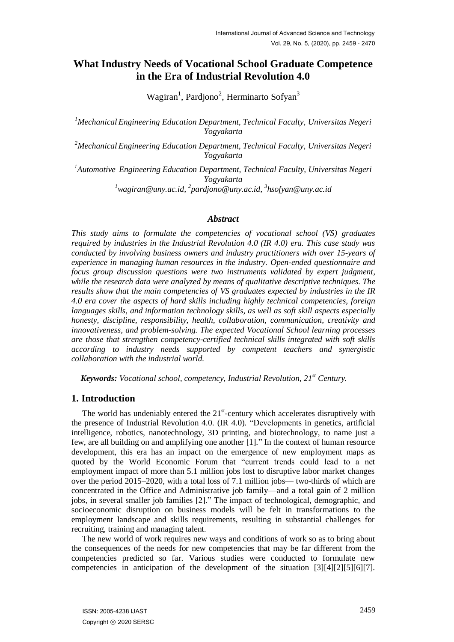# **What Industry Needs of Vocational School Graduate Competence in the Era of Industrial Revolution 4.0**

Wagiran<sup>1</sup>, Pardjono<sup>2</sup>, Herminarto Sofyan<sup>3</sup>

*<sup>1</sup>Mechanical Engineering Education Department, Technical Faculty, Universitas Negeri Yogyakarta*

*<sup>2</sup>Mechanical Engineering Education Department, Technical Faculty, Universitas Negeri Yogyakarta*

*<sup>1</sup>Automotive Engineering Education Department, Technical Faculty, Universitas Negeri Yogyakarta <sup>1</sup>[wagiran@uny.ac.id,](mailto:wagiran@uny.ac.id) 2 [pardjono@uny.ac.id,](mailto:pardjono@uny.ac.id) 3 [hsofyan@uny.ac.id](mailto:hsofyan@uny.ac.id)*

#### *Abstract*

*This study aims to formulate the competencies of vocational school (VS) graduates required by industries in the Industrial Revolution 4.0 (IR 4.0) era. This case study was conducted by involving business owners and industry practitioners with over 15-years of experience in managing human resources in the industry. Open-ended questionnaire and focus group discussion questions were two instruments validated by expert judgment, while the research data were analyzed by means of qualitative descriptive techniques. The results show that the main competencies of VS graduates expected by industries in the IR 4.0 era cover the aspects of hard skills including highly technical competencies, foreign languages skills, and information technology skills, as well as soft skill aspects especially honesty, discipline, responsibility, health, collaboration, communication, creativity and innovativeness, and problem-solving. The expected Vocational School learning processes are those that strengthen competency-certified technical skills integrated with soft skills according to industry needs supported by competent teachers and synergistic collaboration with the industrial world.*

*Keywords: Vocational school, competency, Industrial Revolution, 21st Century.* 

# **1. Introduction**

The world has undeniably entered the  $21<sup>st</sup>$ -century which accelerates disruptively with the presence of Industrial Revolution 4.0.  $(IR 4.0)$ . "Developments in genetics, artificial intelligence, robotics, nanotechnology, 3D printing, and biotechnology, to name just a few, are all building on and amplifying one another  $[1]$ ." In the context of human resource development, this era has an impact on the emergence of new employment maps as quoted by the World Economic Forum that "current trends could lead to a net employment impact of more than 5.1 million jobs lost to disruptive labor market changes over the period 2015–2020, with a total loss of 7.1 million jobs— two-thirds of which are concentrated in the Office and Administrative job family—and a total gain of 2 million jobs, in several smaller job families [2]." The impact of technological, demographic, and socioeconomic disruption on business models will be felt in transformations to the employment landscape and skills requirements, resulting in substantial challenges for recruiting, training and managing talent.

The new world of work requires new ways and conditions of work so as to bring about the consequences of the needs for new competencies that may be far different from the competencies predicted so far. Various studies were conducted to formulate new competencies in anticipation of the development of the situation [3][4][2][5][6][7].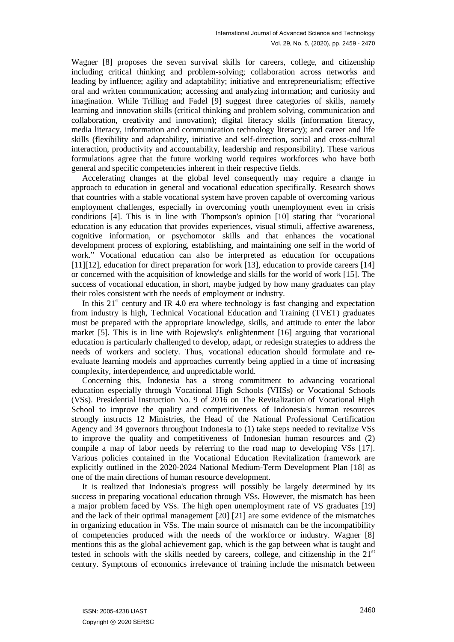Wagner [8] proposes the seven survival skills for careers, college, and citizenship including critical thinking and problem-solving; collaboration across networks and leading by influence; agility and adaptability; initiative and entrepreneurialism; effective oral and written communication; accessing and analyzing information; and curiosity and imagination. While Trilling and Fadel [9] suggest three categories of skills, namely learning and innovation skills (critical thinking and problem solving, communication and collaboration, creativity and innovation); digital literacy skills (information literacy, media literacy, information and communication technology literacy); and career and life skills (flexibility and adaptability, initiative and self-direction, social and cross-cultural interaction, productivity and accountability, leadership and responsibility). These various formulations agree that the future working world requires workforces who have both general and specific competencies inherent in their respective fields.

Accelerating changes at the global level consequently may require a change in approach to education in general and vocational education specifically. Research shows that countries with a stable vocational system have proven capable of overcoming various employment challenges, especially in overcoming youth unemployment even in crisis conditions  $[4]$ . This is in line with Thompson's opinion  $[10]$  stating that "vocational education is any education that provides experiences, visual stimuli, affective awareness, cognitive information, or psychomotor skills and that enhances the vocational development process of exploring, establishing, and maintaining one self in the world of work." Vocational education can also be interpreted as education for occupations [11][12], education for direct preparation for work [13], education to provide careers [14] or concerned with the acquisition of knowledge and skills for the world of work [15]. The success of vocational education, in short, maybe judged by how many graduates can play their roles consistent with the needs of employment or industry.

In this  $21<sup>st</sup>$  century and IR 4.0 era where technology is fast changing and expectation from industry is high, Technical Vocational Education and Training (TVET) graduates must be prepared with the appropriate knowledge, skills, and attitude to enter the labor market [5]. This is in line with Rojewsky's enlightenment [16] arguing that vocational education is particularly challenged to develop, adapt, or redesign strategies to address the needs of workers and society. Thus, vocational education should formulate and reevaluate learning models and approaches currently being applied in a time of increasing complexity, interdependence, and unpredictable world.

Concerning this, Indonesia has a strong commitment to advancing vocational education especially through Vocational High Schools (VHSs) or Vocational Schools (VSs). Presidential Instruction No. 9 of 2016 on The Revitalization of Vocational High School to improve the quality and competitiveness of Indonesia's human resources strongly instructs 12 Ministries, the Head of the National Professional Certification Agency and 34 governors throughout Indonesia to (1) take steps needed to revitalize VSs to improve the quality and competitiveness of Indonesian human resources and (2) compile a map of labor needs by referring to the road map to developing VSs [17]. Various policies contained in the Vocational Education Revitalization framework are explicitly outlined in the 2020-2024 National Medium-Term Development Plan [18] as one of the main directions of human resource development.

It is realized that Indonesia's progress will possibly be largely determined by its success in preparing vocational education through VSs. However, the mismatch has been a major problem faced by VSs. The high open unemployment rate of VS graduates [19] and the lack of their optimal management [20] [21] are some evidence of the mismatches in organizing education in VSs. The main source of mismatch can be the incompatibility of competencies produced with the needs of the workforce or industry. Wagner [8] mentions this as the global achievement gap, which is the gap between what is taught and tested in schools with the skills needed by careers, college, and citizenship in the  $21<sup>st</sup>$ century. Symptoms of economics irrelevance of training include the mismatch between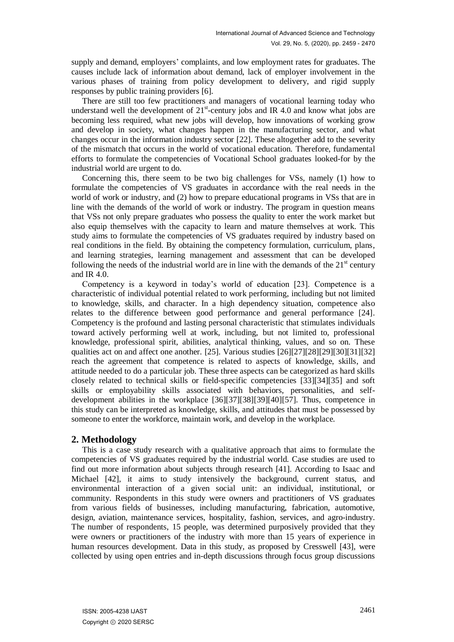supply and demand, employers' complaints, and low employment rates for graduates. The causes include lack of information about demand, lack of employer involvement in the various phases of training from policy development to delivery, and rigid supply responses by public training providers [6].

There are still too few practitioners and managers of vocational learning today who understand well the development of  $21<sup>st</sup>$ -century jobs and IR 4.0 and know what jobs are becoming less required, what new jobs will develop, how innovations of working grow and develop in society, what changes happen in the manufacturing sector, and what changes occur in the information industry sector [22]. These altogether add to the severity of the mismatch that occurs in the world of vocational education. Therefore, fundamental efforts to formulate the competencies of Vocational School graduates looked-for by the industrial world are urgent to do.

Concerning this, there seem to be two big challenges for VSs, namely (1) how to formulate the competencies of VS graduates in accordance with the real needs in the world of work or industry, and (2) how to prepare educational programs in VSs that are in line with the demands of the world of work or industry. The program in question means that VSs not only prepare graduates who possess the quality to enter the work market but also equip themselves with the capacity to learn and mature themselves at work. This study aims to formulate the competencies of VS graduates required by industry based on real conditions in the field. By obtaining the competency formulation, curriculum, plans, and learning strategies, learning management and assessment that can be developed following the needs of the industrial world are in line with the demands of the  $21<sup>st</sup>$  century and IR 4.0.

Competency is a keyword in today's world of education [23]. Competence is a characteristic of individual potential related to work performing, including but not limited to knowledge, skills, and character. In a high dependency situation, competence also relates to the difference between good performance and general performance [24]. Competency is the profound and lasting personal characteristic that stimulates individuals toward actively performing well at work, including, but not limited to, professional knowledge, professional spirit, abilities, analytical thinking, values, and so on. These qualities act on and affect one another. [25]. Various studies [26][27][28][29][30][31][32] reach the agreement that competence is related to aspects of knowledge, skills, and attitude needed to do a particular job. These three aspects can be categorized as hard skills closely related to technical skills or field-specific competencies [33][34][35] and soft skills or employability skills associated with behaviors, personalities, and selfdevelopment abilities in the workplace [36][37][38][39][40][57]. Thus, competence in this study can be interpreted as knowledge, skills, and attitudes that must be possessed by someone to enter the workforce, maintain work, and develop in the workplace.

#### **2. Methodology**

This is a case study research with a qualitative approach that aims to formulate the competencies of VS graduates required by the industrial world. Case studies are used to find out more information about subjects through research [41]. According to Isaac and Michael [42], it aims to study intensively the background, current status, and environmental interaction of a given social unit: an individual, institutional, or community. Respondents in this study were owners and practitioners of VS graduates from various fields of businesses, including manufacturing, fabrication, automotive, design, aviation, maintenance services, hospitality, fashion, services, and agro-industry. The number of respondents, 15 people, was determined purposively provided that they were owners or practitioners of the industry with more than 15 years of experience in human resources development. Data in this study, as proposed by Cresswell [43], were collected by using open entries and in-depth discussions through focus group discussions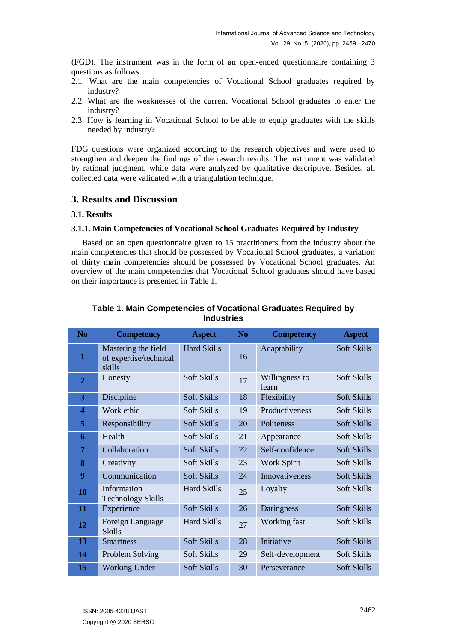(FGD). The instrument was in the form of an open-ended questionnaire containing 3 questions as follows.

- 2.1. What are the main competencies of Vocational School graduates required by industry?
- 2.2. What are the weaknesses of the current Vocational School graduates to enter the industry?
- 2.3. How is learning in Vocational School to be able to equip graduates with the skills needed by industry?

FDG questions were organized according to the research objectives and were used to strengthen and deepen the findings of the research results. The instrument was validated by rational judgment, while data were analyzed by qualitative descriptive. Besides, all collected data were validated with a triangulation technique.

## **3. Results and Discussion**

#### **3.1. Results**

#### **3.1.1. Main Competencies of Vocational School Graduates Required by Industry**

Based on an open questionnaire given to 15 practitioners from the industry about the main competencies that should be possessed by Vocational School graduates, a variation of thirty main competencies should be possessed by Vocational School graduates. An overview of the main competencies that Vocational School graduates should have based on their importance is presented in Table 1.

| N <sub>o</sub>   | <b>Competency</b>                                       | <b>Aspect</b>      | N <sub>0</sub> | <b>Competency</b>       | <b>Aspect</b> |
|------------------|---------------------------------------------------------|--------------------|----------------|-------------------------|---------------|
| $\mathbf{1}$     | Mastering the field<br>of expertise/technical<br>skills | <b>Hard Skills</b> | 16             | Adaptability            | Soft Skills   |
| $\overline{2}$   | Honesty                                                 | Soft Skills        | 17             | Willingness to<br>learn | Soft Skills   |
| 3                | Discipline                                              | Soft Skills        | 18             | Flexibility             | Soft Skills   |
| $\boldsymbol{4}$ | Work ethic                                              | <b>Soft Skills</b> | 19             | Productiveness          | Soft Skills   |
| 5                | Responsibility                                          | Soft Skills        | 20             | Politeness              | Soft Skills   |
| 6                | Health                                                  | Soft Skills        | 21             | Appearance              | Soft Skills   |
| 7                | Collaboration                                           | Soft Skills        | 22             | Self-confidence         | Soft Skills   |
| 8                | Creativity                                              | Soft Skills        | 23             | Work Spirit             | Soft Skills   |
| 9                | Communication                                           | Soft Skills        | 24             | Innovativeness          | Soft Skills   |
| 10               | Information<br><b>Technology Skills</b>                 | <b>Hard Skills</b> | 25             | Loyalty                 | Soft Skills   |
| 11               | Experience                                              | Soft Skills        | 26             | Daringness              | Soft Skills   |
| 12               | Foreign Language<br><b>Skills</b>                       | <b>Hard Skills</b> | 27             | Working fast            | Soft Skills   |
| 13               | <b>Smartness</b>                                        | Soft Skills        | 28             | Initiative              | Soft Skills   |
| 14               | Problem Solving                                         | Soft Skills        | 29             | Self-development        | Soft Skills   |
| 15               | <b>Working Under</b>                                    | Soft Skills        | 30             | Perseverance            | Soft Skills   |

#### **Table 1. Main Competencies of Vocational Graduates Required by Industries**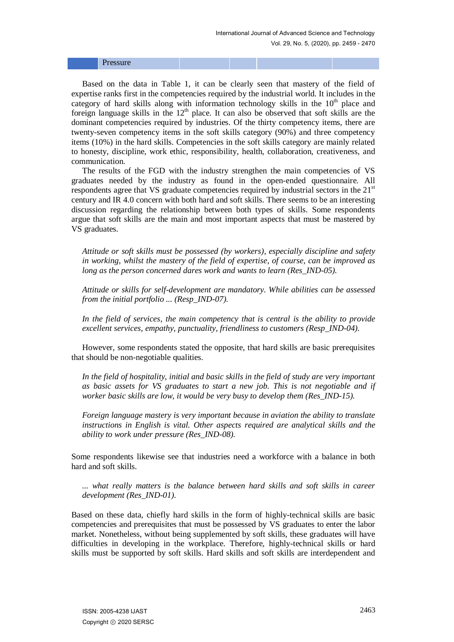|--|--|--|--|

Based on the data in Table 1, it can be clearly seen that mastery of the field of expertise ranks first in the competencies required by the industrial world. It includes in the category of hard skills along with information technology skills in the  $10<sup>th</sup>$  place and foreign language skills in the  $12<sup>th</sup>$  place. It can also be observed that soft skills are the dominant competencies required by industries. Of the thirty competency items, there are twenty-seven competency items in the soft skills category (90%) and three competency items (10%) in the hard skills. Competencies in the soft skills category are mainly related to honesty, discipline, work ethic, responsibility, health, collaboration, creativeness, and communication.

The results of the FGD with the industry strengthen the main competencies of VS graduates needed by the industry as found in the open-ended questionnaire. All respondents agree that VS graduate competencies required by industrial sectors in the  $21<sup>st</sup>$ century and IR 4.0 concern with both hard and soft skills. There seems to be an interesting discussion regarding the relationship between both types of skills. Some respondents argue that soft skills are the main and most important aspects that must be mastered by VS graduates.

*Attitude or soft skills must be possessed (by workers), especially discipline and safety in working, whilst the mastery of the field of expertise, of course, can be improved as long as the person concerned dares work and wants to learn (Res\_IND-05).*

*Attitude or skills for self-development are mandatory. While abilities can be assessed from the initial portfolio ... (Resp\_IND-07).*

*In the field of services, the main competency that is central is the ability to provide excellent services, empathy, punctuality, friendliness to customers (Resp\_IND-04).*

However, some respondents stated the opposite, that hard skills are basic prerequisites that should be non-negotiable qualities.

*In the field of hospitality, initial and basic skills in the field of study are very important as basic assets for VS graduates to start a new job. This is not negotiable and if worker basic skills are low, it would be very busy to develop them (Res\_IND-15).*

*Foreign language mastery is very important because in aviation the ability to translate instructions in English is vital. Other aspects required are analytical skills and the ability to work under pressure (Res\_IND-08).*

Some respondents likewise see that industries need a workforce with a balance in both hard and soft skills.

*... what really matters is the balance between hard skills and soft skills in career development (Res\_IND-01).*

Based on these data, chiefly hard skills in the form of highly-technical skills are basic competencies and prerequisites that must be possessed by VS graduates to enter the labor market. Nonetheless, without being supplemented by soft skills, these graduates will have difficulties in developing in the workplace. Therefore, highly-technical skills or hard skills must be supported by soft skills. Hard skills and soft skills are interdependent and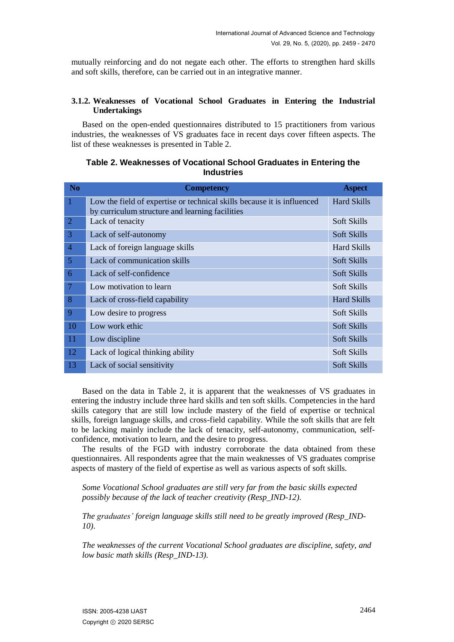mutually reinforcing and do not negate each other. The efforts to strengthen hard skills and soft skills, therefore, can be carried out in an integrative manner.

#### **3.1.2. Weaknesses of Vocational School Graduates in Entering the Industrial Undertakings**

Based on the open-ended questionnaires distributed to 15 practitioners from various industries, the weaknesses of VS graduates face in recent days cover fifteen aspects. The list of these weaknesses is presented in Table 2.

| <b>No</b>      | <b>Competency</b>                                                                                                          | <b>Aspect</b>      |
|----------------|----------------------------------------------------------------------------------------------------------------------------|--------------------|
| $\overline{1}$ | Low the field of expertise or technical skills because it is influenced<br>by curriculum structure and learning facilities | <b>Hard Skills</b> |
| $\overline{2}$ | Lack of tenacity                                                                                                           | Soft Skills        |
| 3              | Lack of self-autonomy                                                                                                      | Soft Skills        |
| $\overline{4}$ | Lack of foreign language skills                                                                                            | <b>Hard Skills</b> |
| $\overline{5}$ | Lack of communication skills                                                                                               | Soft Skills        |
| 6              | Lack of self-confidence                                                                                                    | Soft Skills        |
| $\overline{7}$ | Low motivation to learn                                                                                                    | Soft Skills        |
| 8              | Lack of cross-field capability                                                                                             | <b>Hard Skills</b> |
| 9              | Low desire to progress                                                                                                     | Soft Skills        |
| 10             | Low work ethic                                                                                                             | Soft Skills        |
| 11             | Low discipline                                                                                                             | Soft Skills        |
| 12             | Lack of logical thinking ability                                                                                           | Soft Skills        |
| 13             | Lack of social sensitivity                                                                                                 | Soft Skills        |

## **Table 2. Weaknesses of Vocational School Graduates in Entering the Industries**

Based on the data in Table 2, it is apparent that the weaknesses of VS graduates in entering the industry include three hard skills and ten soft skills. Competencies in the hard skills category that are still low include mastery of the field of expertise or technical skills, foreign language skills, and cross-field capability. While the soft skills that are felt to be lacking mainly include the lack of tenacity, self-autonomy, communication, selfconfidence, motivation to learn, and the desire to progress.

The results of the FGD with industry corroborate the data obtained from these questionnaires. All respondents agree that the main weaknesses of VS graduates comprise aspects of mastery of the field of expertise as well as various aspects of soft skills.

*Some Vocational School graduates are still very far from the basic skills expected possibly because of the lack of teacher creativity (Resp\_IND-12).*

*The graduates' foreign language skills still need to be greatly improved (Resp\_IND-10).*

*The weaknesses of the current Vocational School graduates are discipline, safety, and low basic math skills (Resp\_IND-13).*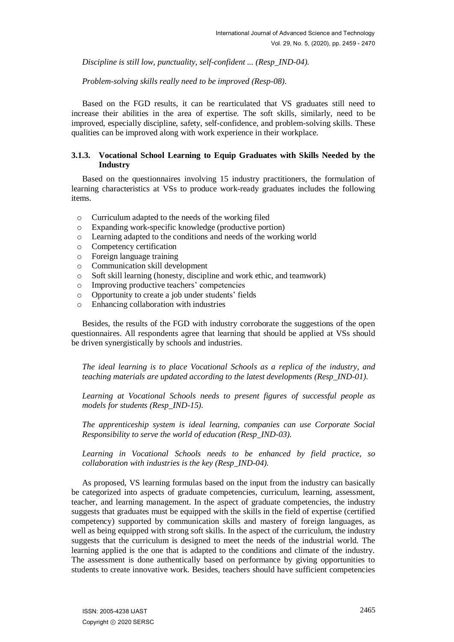*Discipline is still low, punctuality, self-confident ... (Resp\_IND-04).*

*Problem-solving skills really need to be improved (Resp-08).*

Based on the FGD results, it can be rearticulated that VS graduates still need to increase their abilities in the area of expertise. The soft skills, similarly, need to be improved, especially discipline, safety, self-confidence, and problem-solving skills. These qualities can be improved along with work experience in their workplace.

## **3.1.3. Vocational School Learning to Equip Graduates with Skills Needed by the Industry**

Based on the questionnaires involving 15 industry practitioners, the formulation of learning characteristics at VSs to produce work-ready graduates includes the following items.

- o Curriculum adapted to the needs of the working filed
- o Expanding work-specific knowledge (productive portion)
- o Learning adapted to the conditions and needs of the working world
- o Competency certification
- o Foreign language training
- o Communication skill development
- o Soft skill learning (honesty, discipline and work ethic, and teamwork)
- o Improving productive teachers' competencies
- o Opportunity to create a job under students' fields
- o Enhancing collaboration with industries

Besides, the results of the FGD with industry corroborate the suggestions of the open questionnaires. All respondents agree that learning that should be applied at VSs should be driven synergistically by schools and industries.

*The ideal learning is to place Vocational Schools as a replica of the industry, and teaching materials are updated according to the latest developments (Resp\_IND-01).*

*Learning at Vocational Schools needs to present figures of successful people as models for students (Resp\_IND-15).*

*The apprenticeship system is ideal learning, companies can use Corporate Social Responsibility to serve the world of education (Resp\_IND-03).*

*Learning in Vocational Schools needs to be enhanced by field practice, so collaboration with industries is the key (Resp\_IND-04).*

As proposed, VS learning formulas based on the input from the industry can basically be categorized into aspects of graduate competencies, curriculum, learning, assessment, teacher, and learning management. In the aspect of graduate competencies, the industry suggests that graduates must be equipped with the skills in the field of expertise (certified competency) supported by communication skills and mastery of foreign languages, as well as being equipped with strong soft skills. In the aspect of the curriculum, the industry suggests that the curriculum is designed to meet the needs of the industrial world. The learning applied is the one that is adapted to the conditions and climate of the industry. The assessment is done authentically based on performance by giving opportunities to students to create innovative work. Besides, teachers should have sufficient competencies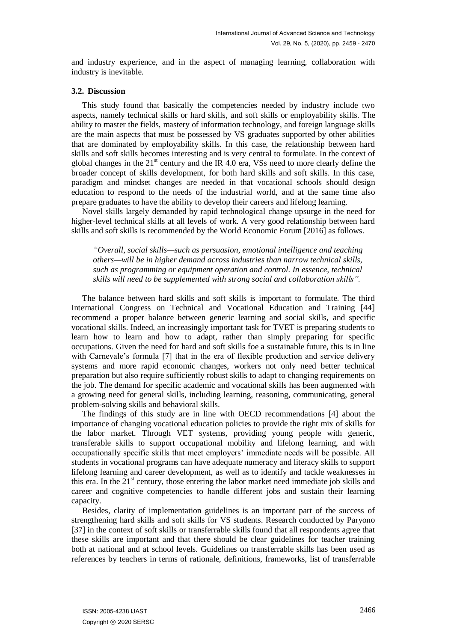and industry experience, and in the aspect of managing learning, collaboration with industry is inevitable.

#### **3.2. Discussion**

This study found that basically the competencies needed by industry include two aspects, namely technical skills or hard skills, and soft skills or employability skills. The ability to master the fields, mastery of information technology, and foreign language skills are the main aspects that must be possessed by VS graduates supported by other abilities that are dominated by employability skills. In this case, the relationship between hard skills and soft skills becomes interesting and is very central to formulate. In the context of global changes in the  $21<sup>st</sup>$  century and the IR 4.0 era, VSs need to more clearly define the broader concept of skills development, for both hard skills and soft skills. In this case, paradigm and mindset changes are needed in that vocational schools should design education to respond to the needs of the industrial world, and at the same time also prepare graduates to have the ability to develop their careers and lifelong learning.

Novel skills largely demanded by rapid technological change upsurge in the need for higher-level technical skills at all levels of work. A very good relationship between hard skills and soft skills is recommended by the World Economic Forum [2016] as follows.

*"Overall, social skills—such as persuasion, emotional intelligence and teaching others—will be in higher demand across industries than narrow technical skills, such as programming or equipment operation and control. In essence, technical skills will need to be supplemented with strong social and collaboration skills".* 

The balance between hard skills and soft skills is important to formulate. The third International Congress on Technical and Vocational Education and Training [44] recommend a proper balance between generic learning and social skills, and specific vocational skills. Indeed, an increasingly important task for TVET is preparing students to learn how to learn and how to adapt, rather than simply preparing for specific occupations. Given the need for hard and soft skills foe a sustainable future, this is in line with Carnevale's formula [7] that in the era of flexible production and service delivery systems and more rapid economic changes, workers not only need better technical preparation but also require sufficiently robust skills to adapt to changing requirements on the job. The demand for specific academic and vocational skills has been augmented with a growing need for general skills, including learning, reasoning, communicating, general problem-solving skills and behavioral skills.

The findings of this study are in line with OECD recommendations [4] about the importance of changing vocational education policies to provide the right mix of skills for the labor market. Through VET systems, providing young people with generic, transferable skills to support occupational mobility and lifelong learning, and with occupationally specific skills that meet employers' immediate needs will be possible. All students in vocational programs can have adequate numeracy and literacy skills to support lifelong learning and career development, as well as to identify and tackle weaknesses in this era. In the  $21<sup>st</sup>$  century, those entering the labor market need immediate job skills and career and cognitive competencies to handle different jobs and sustain their learning capacity.

Besides, clarity of implementation guidelines is an important part of the success of strengthening hard skills and soft skills for VS students. Research conducted by Paryono [37] in the context of soft skills or transferrable skills found that all respondents agree that these skills are important and that there should be clear guidelines for teacher training both at national and at school levels. Guidelines on transferrable skills has been used as references by teachers in terms of rationale, definitions, frameworks, list of transferrable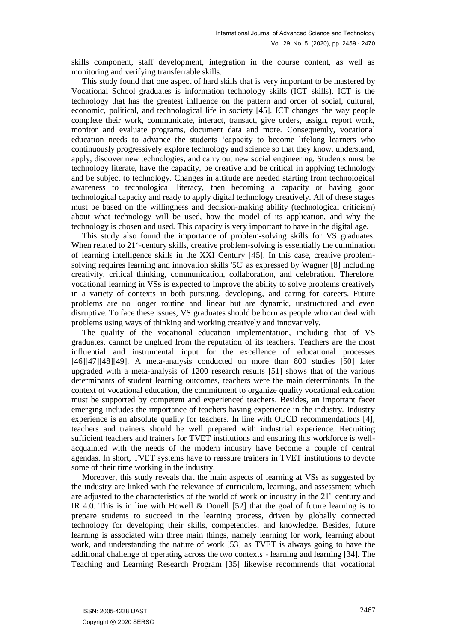skills component, staff development, integration in the course content, as well as monitoring and verifying transferrable skills.

This study found that one aspect of hard skills that is very important to be mastered by Vocational School graduates is information technology skills (ICT skills). ICT is the technology that has the greatest influence on the pattern and order of social, cultural, economic, political, and technological life in society [45]. ICT changes the way people complete their work, communicate, interact, transact, give orders, assign, report work, monitor and evaluate programs, document data and more. Consequently, vocational education needs to advance the students 'capacity to become lifelong learners who continuously progressively explore technology and science so that they know, understand, apply, discover new technologies, and carry out new social engineering. Students must be technology literate, have the capacity, be creative and be critical in applying technology and be subject to technology. Changes in attitude are needed starting from technological awareness to technological literacy, then becoming a capacity or having good technological capacity and ready to apply digital technology creatively. All of these stages must be based on the willingness and decision-making ability (technological criticism) about what technology will be used, how the model of its application, and why the technology is chosen and used. This capacity is very important to have in the digital age.

This study also found the importance of problem-solving skills for VS graduates. When related to 21<sup>st</sup>-century skills, creative problem-solving is essentially the culmination of learning intelligence skills in the XXI Century [45]. In this case, creative problemsolving requires learning and innovation skills '5C' as expressed by Wagner [8] including creativity, critical thinking, communication, collaboration, and celebration. Therefore, vocational learning in VSs is expected to improve the ability to solve problems creatively in a variety of contexts in both pursuing, developing, and caring for careers. Future problems are no longer routine and linear but are dynamic, unstructured and even disruptive. To face these issues, VS graduates should be born as people who can deal with problems using ways of thinking and working creatively and innovatively.

The quality of the vocational education implementation, including that of VS graduates, cannot be unglued from the reputation of its teachers. Teachers are the most influential and instrumental input for the excellence of educational processes [46][47][48][49]. A meta-analysis conducted on more than 800 studies [50] later upgraded with a meta-analysis of 1200 research results [51] shows that of the various determinants of student learning outcomes, teachers were the main determinants. In the context of vocational education, the commitment to organize quality vocational education must be supported by competent and experienced teachers. Besides, an important facet emerging includes the importance of teachers having experience in the industry. Industry experience is an absolute quality for teachers. In line with OECD recommendations [4], teachers and trainers should be well prepared with industrial experience. Recruiting sufficient teachers and trainers for TVET institutions and ensuring this workforce is wellacquainted with the needs of the modern industry have become a couple of central agendas. In short, TVET systems have to reassure trainers in TVET institutions to devote some of their time working in the industry.

Moreover, this study reveals that the main aspects of learning at VSs as suggested by the industry are linked with the relevance of curriculum, learning, and assessment which are adjusted to the characteristics of the world of work or industry in the  $21<sup>st</sup>$  century and IR 4.0. This is in line with Howell & Donell [52] that the goal of future learning is to prepare students to succeed in the learning process, driven by globally connected technology for developing their skills, competencies, and knowledge. Besides, future learning is associated with three main things, namely learning for work, learning about work, and understanding the nature of work [53] as TVET is always going to have the additional challenge of operating across the two contexts - learning and learning [34]. The Teaching and Learning Research Program [35] likewise recommends that vocational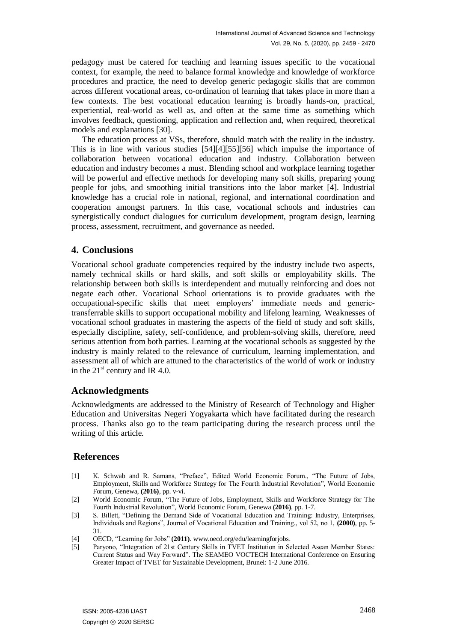pedagogy must be catered for teaching and learning issues specific to the vocational context, for example, the need to balance formal knowledge and knowledge of workforce procedures and practice, the need to develop generic pedagogic skills that are common across different vocational areas, co-ordination of learning that takes place in more than a few contexts. The best vocational education learning is broadly hands-on, practical, experiential, real-world as well as, and often at the same time as something which involves feedback, questioning, application and reflection and, when required, theoretical models and explanations [30].

The education process at VSs, therefore, should match with the reality in the industry. This is in line with various studies [54][4][55][56] which impulse the importance of collaboration between vocational education and industry. Collaboration between education and industry becomes a must. Blending school and workplace learning together will be powerful and effective methods for developing many soft skills, preparing young people for jobs, and smoothing initial transitions into the labor market [4]. Industrial knowledge has a crucial role in national, regional, and international coordination and cooperation amongst partners. In this case, vocational schools and industries can synergistically conduct dialogues for curriculum development, program design, learning process, assessment, recruitment, and governance as needed.

# **4. Conclusions**

Vocational school graduate competencies required by the industry include two aspects, namely technical skills or hard skills, and soft skills or employability skills. The relationship between both skills is interdependent and mutually reinforcing and does not negate each other. Vocational School orientations is to provide graduates with the occupational-specific skills that meet employers' immediate needs and generictransferrable skills to support occupational mobility and lifelong learning. Weaknesses of vocational school graduates in mastering the aspects of the field of study and soft skills, especially discipline, safety, self-confidence, and problem-solving skills, therefore, need serious attention from both parties. Learning at the vocational schools as suggested by the industry is mainly related to the relevance of curriculum, learning implementation, and assessment all of which are attuned to the characteristics of the world of work or industry in the  $21<sup>st</sup>$  century and IR 4.0.

# **Acknowledgments**

Acknowledgments are addressed to the Ministry of Research of Technology and Higher Education and Universitas Negeri Yogyakarta which have facilitated during the research process. Thanks also go to the team participating during the research process until the writing of this article.

# **References**

- [1] K. Schwab and R. Samans, "Preface", Edited World Economic Forum., "The Future of Jobs, Employment, Skills and Workforce Strategy for The Fourth Industrial Revolution", World Economic Forum, Genewa, **(2016)**, pp. v-vi.
- [2] World Economic Forum, "The Future of Jobs, Employment, Skills and Workforce Strategy for The Fourth Industrial Revolution", World Economic Forum, Genewa **(2016)**, pp. 1-7.
- [3] S. Billett, "Defining the Demand Side of Vocational Education and Training: Industry, Enterprises, Individuals and Regions‖, Journal of Vocational Education and Training., vol 52, no 1, **(2000)**, pp. 5- 31.
- [4] OECD, "Learning for Jobs" (2011)[. www.oecd.org/edu/learningforjobs.](http://www.oecd.org/edu/learningforjobs)
- [5] Paryono, "Integration of 21st Century Skills in TVET Institution in Selected Asean Member States: Current Status and Way Forward". The SEAMEO VOCTECH International Conference on Ensuring Greater Impact of TVET for Sustainable Development, Brunei: 1-2 June 2016.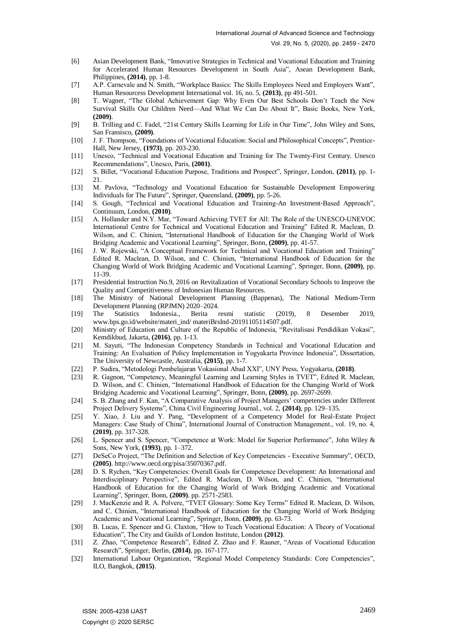- [6] Asian Development Bank, "Innovative Strategies in Technical and Vocational Education and Training for Accelerated Human Resources Development in South Asia", Asean Development Bank, Philippines, **(2014)**, pp. 1-8.
- [7] A.P. Carnevale and N. Smith, "Workplace Basics: The Skills Employees Need and Employers Want", Human Resourcess Development International vol. 16, no. 5, **(2013)**, pp 491-501.
- [8] T. Wagner, "The Global Achievement Gap: Why Even Our Best Schools Don't Teach the New Survival Skills Our Children Need—And What We Can Do About It", Basic Books, New York, **(2009)**.
- [9] B. Trilling and C. Fadel, "21st Century Skills Learning for Life in Our Time", John Wiley and Sons, San Fransisco, **(2009)**.
- [10] J. F. Thompson, "Foundations of Vocational Education: Social and Philosophical Concepts", Prentice-Hall, New Jersey, **(1973)**, pp. 203-230.
- [11] Unesco, "Technical and Vocational Education and Training for The Twenty-First Century. Unesco Recommendations‖, Unesco, Paris, **(2001)**.
- [12] S. Billet, "Vocational Education Purpose, Traditions and Prospect", Springer, London, (2011), pp. 1-21.
- [13] M. Pavlova, "Technology and Vocational Education for Sustainable Development Empowering Individuals for The Future‖, Springer, Queensland, **(2009)**, pp. 5-26.
- [14] S. Gough, "Technical and Vocational Education and Training-An Investment-Based Approach", Continuum, London, **(2010)**.
- [15] A. Hollander and N.Y. Mar, "Toward Achieving TVET for All: The Role of the UNESCO-UNEVOC International Centre for Technical and Vocational Education and Training" Edited R. Maclean, D. Wilson, and C. Chinien, "International Handbook of Education for the Changing World of Work Bridging Academic and Vocational Learning", Springer, Bonn, (2009), pp. 41-57.
- [16] J. W. Rojewski, "A Conceptual Framework for Technical and Vocational Education and Training" Edited R. Maclean, D. Wilson, and C. Chinien, "International Handbook of Education for the Changing World of Work Bridging Academic and Vocational Learning", Springer, Bonn, (2009), pp. 11-39.
- [17] Presidential Instruction No.9, 2016 on Revitalization of Vocational Secondary Schools to Improve the Quality and Competitiveness of Indonesian Human Resources.
- [18] The Ministry of National Development Planning (Bappenas), The National Medium-Term Development Planning (RPJMN) 2020–2024.
- [19] The Statistics Indonesia., Berita resmi statistic (2019), 8 Desember 2019, [www.bps.go.id/website/materi\\_ind/ materiBrsInd-20191105114507.pdf.](http://www.bps.go.id/website/materi_ind/%20materiBrsInd-20191105114507.pdf)
- [20] Ministry of Education and Culture of the Republic of Indonesia, "Revitalisasi Pendidikan Vokasi", Kemdikbud, Jakarta, **(2016)**, pp. 1-13.
- [21] M. Sayuti, "The Indonesian Competency Standards in Technical and Vocational Education and Training: An Evaluation of Policy Implementation in Yogyakarta Province Indonesia", Dissertation, The University of Newcastle, Australia, **(2015)**, pp. 1-7.
- [22] P. Sudira, "Metodologi Pembelajaran Vokasional Abad XXI", UNY Press, Yogyakarta, (2018).
- [23] R. Gagnon, "Competency, Meaningful Learning and Learning Styles in TVET", Edited R. Maclean, D. Wilson, and C. Chinien, "International Handbook of Education for the Changing World of Work Bridging Academic and Vocational Learning‖, Springer, Bonn, **(2009)**, pp. 2697-2699.
- [24] S. B. Zhang and F. Kan, "A Comparative Analysis of Project Managers' competencies under Different Project Delivery Systems‖, China Civil Engineering Journal., vol. 2, **(2014)**, pp. 129–135.
- [25] Y. Xiao, J. Liu and Y. Pang, "Development of a Competency Model for Real-Estate Project Managers: Case Study of China", International Journal of Construction Management., vol. 19, no. 4, **(2019)**, pp. 317-328.
- [26] L. Spencer and S. Spencer, "Competence at Work: Model for Superior Performance", John Wiley & Sons, New York, **(1993)**, pp. 1–372.
- [27] DeSeCo Project, "The Definition and Selection of Key Competencies Executive Summary", OECD, **(2005)**. http://www.oecd.org/pisa/35070367.pdf.
- [28] D. S. Rychen, "Key Competencies: Overall Goals for Competence Development: An International and Interdisciplinary Perspective", Edited R. Maclean, D. Wilson, and C. Chinien, "International Handbook of Education for the Changing World of Work Bridging Academic and Vocational Learning", Springer, Bonn, (2009). pp. 2571-2583.
- [29] J. MacKenzie and R. A. Polvere, "TVET Glossary: Some Key Terms" Edited R. Maclean, D. Wilson, and C. Chinien, "International Handbook of Education for the Changing World of Work Bridging Academic and Vocational Learning", Springer, Bonn, (2009), pp. 63-73.
- [30] B. Lucas, E. Spencer and G. Claxton, "How to Teach Vocational Education: A Theory of Vocational Education‖, The City and Guilds of London Institute, London **(2012)**.
- [31] Z. Zhao, "Competence Research", Edited Z. Zhao and F. Rauner, "Areas of Vocational Education Research‖, Springer, Berlin, **(2014)**, pp. 167-177.
- [32] International Labour Organization, "Regional Model Competency Standards: Core Competencies", ILO, Bangkok, **(2015)**.